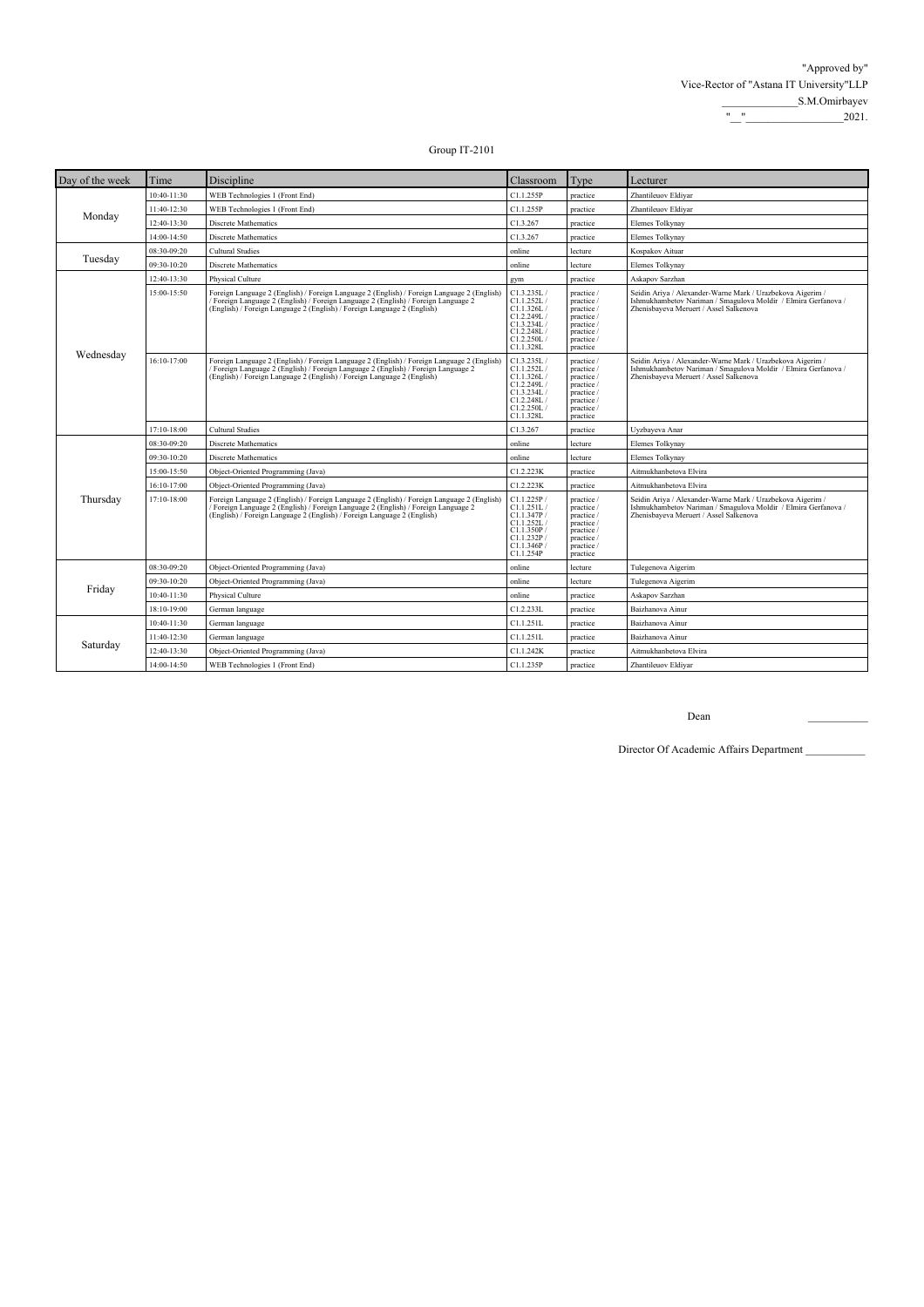| Day of the week | Time        | Discipline                                                                                                                                                                                                                                                | Classroom                                                                                                    | Type                                                                                                       | Lecturer                                                                                                                                                               |
|-----------------|-------------|-----------------------------------------------------------------------------------------------------------------------------------------------------------------------------------------------------------------------------------------------------------|--------------------------------------------------------------------------------------------------------------|------------------------------------------------------------------------------------------------------------|------------------------------------------------------------------------------------------------------------------------------------------------------------------------|
| Monday          | 10:40-11:30 | WEB Technologies 1 (Front End)                                                                                                                                                                                                                            | C1.1.255P                                                                                                    | practice                                                                                                   | Zhantileuov Eldivar                                                                                                                                                    |
|                 | 11:40-12:30 | WEB Technologies 1 (Front End)                                                                                                                                                                                                                            | C1.1.255P                                                                                                    | practice                                                                                                   | Zhantileuov Eldiyar                                                                                                                                                    |
|                 | 12:40-13:30 | Discrete Mathematics                                                                                                                                                                                                                                      | C1.3.267                                                                                                     | practice                                                                                                   | Elemes Tolkynay                                                                                                                                                        |
|                 | 14:00-14:50 | <b>Discrete Mathematics</b>                                                                                                                                                                                                                               | C1.3.267                                                                                                     | practice                                                                                                   | Elemes Tolkynay                                                                                                                                                        |
|                 | 08:30-09:20 | <b>Cultural Studies</b>                                                                                                                                                                                                                                   | online                                                                                                       | lecture                                                                                                    | Kospakov Aituar                                                                                                                                                        |
| Tuesday         | 09:30-10:20 | Discrete Mathematics                                                                                                                                                                                                                                      | online                                                                                                       | lecture                                                                                                    | Elemes Tolkynay                                                                                                                                                        |
|                 | 12:40-13:30 | Physical Culture                                                                                                                                                                                                                                          | gym                                                                                                          | practice                                                                                                   | Askapov Sarzhan                                                                                                                                                        |
| Wednesday       | 15:00-15:50 | Foreign Language 2 (English) / Foreign Language 2 (English) / Foreign Language 2 (English)<br>Foreign Language 2 (English) / Foreign Language 2 (English) / Foreign Language 2<br>(English) / Foreign Language 2 (English) / Foreign Language 2 (English) | C1.3.235L/<br>C1.1.252L/<br>C1.1.326L/<br>C1.2.249L/<br>C1.3.234L/<br>C1.2.248L /<br>C1.2.250L/<br>C1.1.328L | practice /<br>practice /<br>practice /<br>practice /<br>practice /<br>practice /<br>practice /<br>practice | Seidin Ariya / Alexander-Warne Mark / Urazbekova Aigerim /<br>Ishmukhambetov Nariman / Smagulova Moldir / Elmira Gerfanova /<br>Zhenisbayeva Meruert / Assel Salkenova |
|                 | 16:10-17:00 | Foreign Language 2 (English) / Foreign Language 2 (English) / Foreign Language 2 (English)<br>Foreign Language 2 (English) / Foreign Language 2 (English) / Foreign Language 2<br>(English) / Foreign Language 2 (English) / Foreign Language 2 (English) | C1.3.235L/<br>C1.1.252L/<br>C1.1.326L/<br>C1.2.249L /<br>C1.3.234L/<br>C1.2.248L/<br>C1.2.250L/<br>C1.1.328L | practice /<br>practice /<br>practice /<br>practice /<br>practice /<br>practice /<br>practice /<br>practice | Seidin Ariya / Alexander-Warne Mark / Urazbekova Aigerim /<br>Ishmukhambetov Nariman / Smagulova Moldir / Elmira Gerfanova /<br>Zhenisbayeva Meruert / Assel Salkenova |
|                 | 17:10-18:00 | <b>Cultural Studies</b>                                                                                                                                                                                                                                   | C1.3.267                                                                                                     | practice                                                                                                   | Uyzbayeva Anar                                                                                                                                                         |
|                 | 08:30-09:20 | <b>Discrete Mathematics</b>                                                                                                                                                                                                                               | online                                                                                                       | lecture                                                                                                    | Elemes Tolkynay                                                                                                                                                        |
|                 | 09:30-10:20 | <b>Discrete Mathematics</b>                                                                                                                                                                                                                               | online                                                                                                       | lecture                                                                                                    | Elemes Tolkynay                                                                                                                                                        |
|                 | 15:00-15:50 | Object-Oriented Programming (Java)                                                                                                                                                                                                                        | C1.2.223K                                                                                                    | practice                                                                                                   | Aitmukhanbetova Elvira                                                                                                                                                 |
|                 | 16:10-17:00 | Object-Oriented Programming (Java)                                                                                                                                                                                                                        | C1.2.223K                                                                                                    | practice                                                                                                   | Aitmukhanbetova Elvira                                                                                                                                                 |
| Thursday        | 17:10-18:00 | Foreign Language 2 (English) / Foreign Language 2 (English) / Foreign Language 2 (English)<br>Foreign Language 2 (English) / Foreign Language 2 (English) / Foreign Language 2<br>(English) / Foreign Language 2 (English) / Foreign Language 2 (English) | C1.1.225P/<br>C1.1.251L/<br>Cl.1.347P/<br>C1.1.252L/<br>C1.1.350P<br>C1.1.232P<br>C1.1.346P<br>C1.1.254P     | practice /<br>practice /<br>practice /<br>practice /<br>practice /<br>practice /<br>practice /<br>practice | Seidin Ariya / Alexander-Warne Mark / Urazbekova Aigerim /<br>Ishmukhambetov Nariman / Smagulova Moldir / Elmira Gerfanova /<br>Zhenisbayeva Meruert / Assel Salkenova |
|                 | 08:30-09:20 | Object-Oriented Programming (Java)                                                                                                                                                                                                                        | online                                                                                                       | lecture                                                                                                    | Tulegenova Aigerim                                                                                                                                                     |
| Friday          | 09:30-10:20 | Object-Oriented Programming (Java)                                                                                                                                                                                                                        | online                                                                                                       | lecture                                                                                                    | Tulegenova Aigerim                                                                                                                                                     |
|                 | 10:40-11:30 | Physical Culture                                                                                                                                                                                                                                          | online                                                                                                       | practice                                                                                                   | Askapov Sarzhan                                                                                                                                                        |
|                 | 18:10-19:00 | German language                                                                                                                                                                                                                                           | C1.2.233L                                                                                                    | practice                                                                                                   | Baizhanova Ainur                                                                                                                                                       |
|                 | 10:40-11:30 | German language                                                                                                                                                                                                                                           | C1.1.251L                                                                                                    | practice                                                                                                   | Baizhanova Ainur                                                                                                                                                       |
| Saturday        | 11:40-12:30 | German language                                                                                                                                                                                                                                           | C1.1.251L                                                                                                    | practice                                                                                                   | Baizhanova Ainur                                                                                                                                                       |
|                 | 12:40-13:30 | Object-Oriented Programming (Java)                                                                                                                                                                                                                        | C1.1.242K                                                                                                    | practice                                                                                                   | Aitmukhanbetova Elvira                                                                                                                                                 |
|                 | 14:00-14:50 | WEB Technologies 1 (Front End)                                                                                                                                                                                                                            | C1.1.235P                                                                                                    | practice                                                                                                   | Zhantileuov Eldivar                                                                                                                                                    |

Dean \_\_\_\_\_\_\_\_\_\_\_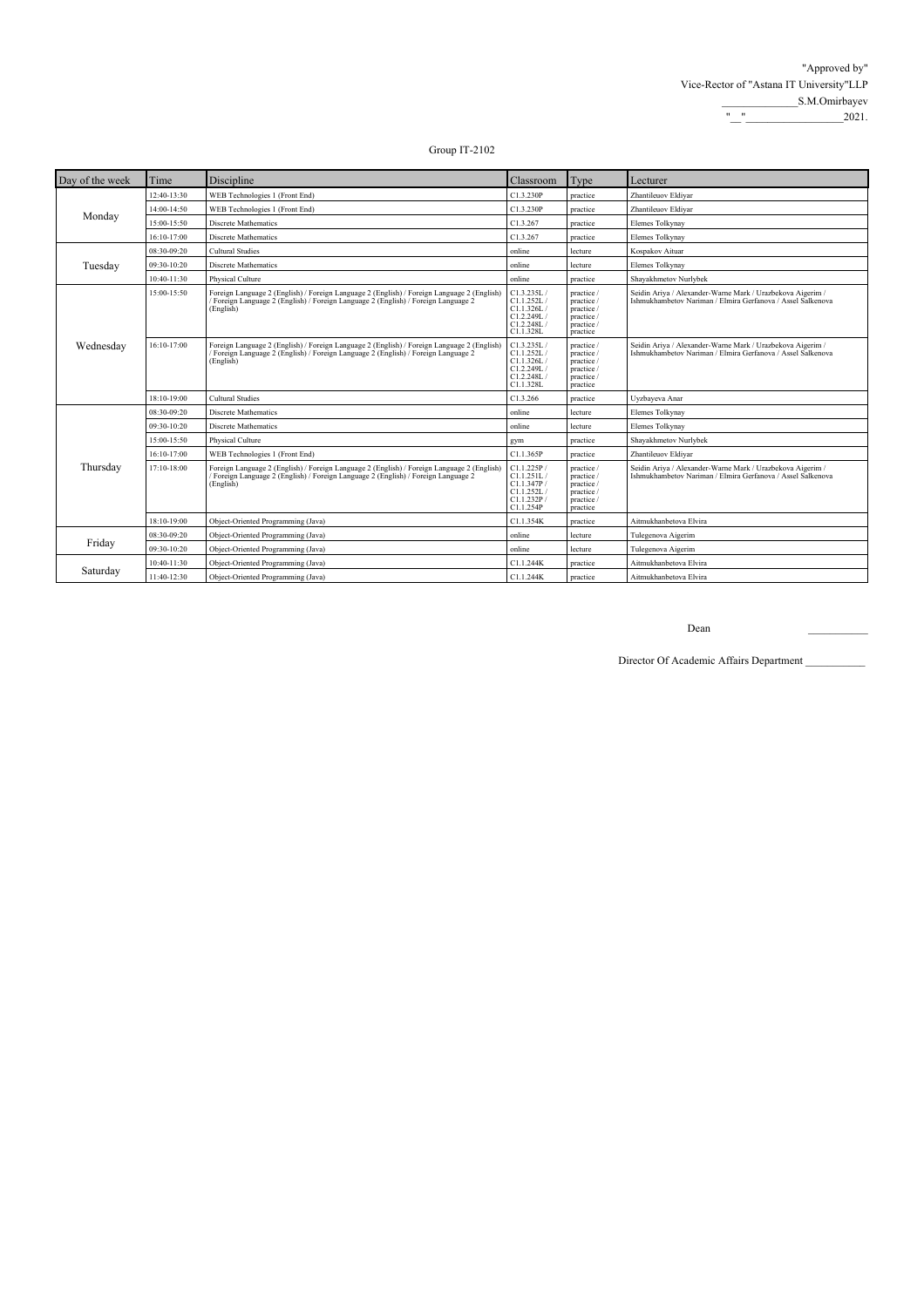| Day of the week | Time        | Discipline                                                                                                                                                                                  | Classroom                                                                       | Type                                                                           | Lecturer                                                                                                                  |
|-----------------|-------------|---------------------------------------------------------------------------------------------------------------------------------------------------------------------------------------------|---------------------------------------------------------------------------------|--------------------------------------------------------------------------------|---------------------------------------------------------------------------------------------------------------------------|
| Monday          | 12:40-13:30 | WEB Technologies 1 (Front End)                                                                                                                                                              | C1.3.230P                                                                       | practice                                                                       | Zhantileuov Eldivar                                                                                                       |
|                 | 14:00-14:50 | WEB Technologies 1 (Front End)                                                                                                                                                              | C1.3.230P                                                                       | practice                                                                       | Zhantileuov Eldiyar                                                                                                       |
|                 | 15:00-15:50 | <b>Discrete Mathematics</b>                                                                                                                                                                 | C1.3.267                                                                        | practice                                                                       | Elemes Tolkynay                                                                                                           |
|                 | 16:10-17:00 | Discrete Mathematics                                                                                                                                                                        | C1.3.267                                                                        | practice                                                                       | Elemes Tolkynav                                                                                                           |
|                 | 08:30-09:20 | <b>Cultural Studies</b>                                                                                                                                                                     | online                                                                          | lecture                                                                        | Kospakov Aituar                                                                                                           |
| Tuesday         | 09:30-10:20 | <b>Discrete Mathematics</b>                                                                                                                                                                 | online                                                                          | lecture                                                                        | Elemes Tolkynay                                                                                                           |
|                 | 10:40-11:30 | Physical Culture                                                                                                                                                                            | online                                                                          | practice                                                                       | Shayakhmetov Nurlybek                                                                                                     |
| Wednesday       | 15:00-15:50 | Foreign Language 2 (English) / Foreign Language 2 (English) / Foreign Language 2 (English)<br>Foreign Language 2 (English) / Foreign Language 2 (English) / Foreign Language 2<br>(English) | C1.3.235L/<br>C1.1.252L/<br>Cl.1.326L/<br>C1.2.249L/<br>C1.2.248L/<br>C1.1.328L | practice /<br>practice /<br>practice /<br>practice /<br>practice /<br>practice | Seidin Ariya / Alexander-Warne Mark / Urazbekova Aigerim /<br>Ishmukhambetov Nariman / Elmira Gerfanova / Assel Salkenova |
|                 | 16:10-17:00 | Foreign Language 2 (English) / Foreign Language 2 (English) / Foreign Language 2 (English)<br>Foreign Language 2 (English) / Foreign Language 2 (English) / Foreign Language 2<br>(English) | C1.3.235L/<br>Cl.1.252L/<br>Cl.1.326L/<br>C1.2.249L/<br>C1.2.248L/<br>C1.1.328L | practice /<br>practice /<br>practice /<br>practice /<br>practice /<br>practice | Seidin Ariya / Alexander-Warne Mark / Urazbekova Aigerim /<br>Ishmukhambetov Nariman / Elmira Gerfanova / Assel Salkenova |
|                 | 18:10-19:00 | <b>Cultural Studies</b>                                                                                                                                                                     | C1.3.266                                                                        | practice                                                                       | Uyzbayeva Anar                                                                                                            |
|                 | 08:30-09:20 | <b>Discrete Mathematics</b>                                                                                                                                                                 | online                                                                          | lecture                                                                        | Elemes Tolkynay                                                                                                           |
|                 | 09:30-10:20 | Discrete Mathematics                                                                                                                                                                        | online                                                                          | lecture                                                                        | Elemes Tolkynav                                                                                                           |
|                 | 15:00-15:50 | Physical Culture                                                                                                                                                                            | gym                                                                             | practice                                                                       | Shayakhmetov Nurlybek                                                                                                     |
|                 | 16:10-17:00 | WEB Technologies 1 (Front End)                                                                                                                                                              | C1.1.365P                                                                       | practice                                                                       | Zhantileuov Eldiyar                                                                                                       |
| Thursday        | 17:10-18:00 | Foreign Language 2 (English) / Foreign Language 2 (English) / Foreign Language 2 (English)<br>Foreign Language 2 (English) / Foreign Language 2 (English) / Foreign Language 2<br>(English) | C1.1.225P/<br>C1.1.251L<br>C1.1.347P/<br>Cl.I.252L/<br>C1.1.232P/<br>C1.1.254P  | practice /<br>practice /<br>practice /<br>practice /<br>practice /<br>practice | Seidin Ariya / Alexander-Warne Mark / Urazbekova Aigerim /<br>Ishmukhambetov Nariman / Elmira Gerfanova / Assel Salkenova |
|                 | 18:10-19:00 | Object-Oriented Programming (Java)                                                                                                                                                          | C1.1.354K                                                                       | practice                                                                       | Aitmukhanbetova Elvira                                                                                                    |
|                 | 08:30-09:20 | Object-Oriented Programming (Java)                                                                                                                                                          | online                                                                          | lecture                                                                        | Tulegenova Aigerim                                                                                                        |
| Friday          | 09:30-10:20 | Object-Oriented Programming (Java)                                                                                                                                                          | online                                                                          | lecture                                                                        | Tulegenova Aigerim                                                                                                        |
|                 | 10:40-11:30 | Object-Oriented Programming (Java)                                                                                                                                                          | C1.1.244K                                                                       | practice                                                                       | Aitmukhanbetova Elvira                                                                                                    |
| Saturday        | 11:40-12:30 | Object-Oriented Programming (Java)                                                                                                                                                          | C1.1.244K                                                                       | practice                                                                       | Aitmukhanbetova Elvira                                                                                                    |

Dean \_\_\_\_\_\_\_\_\_\_\_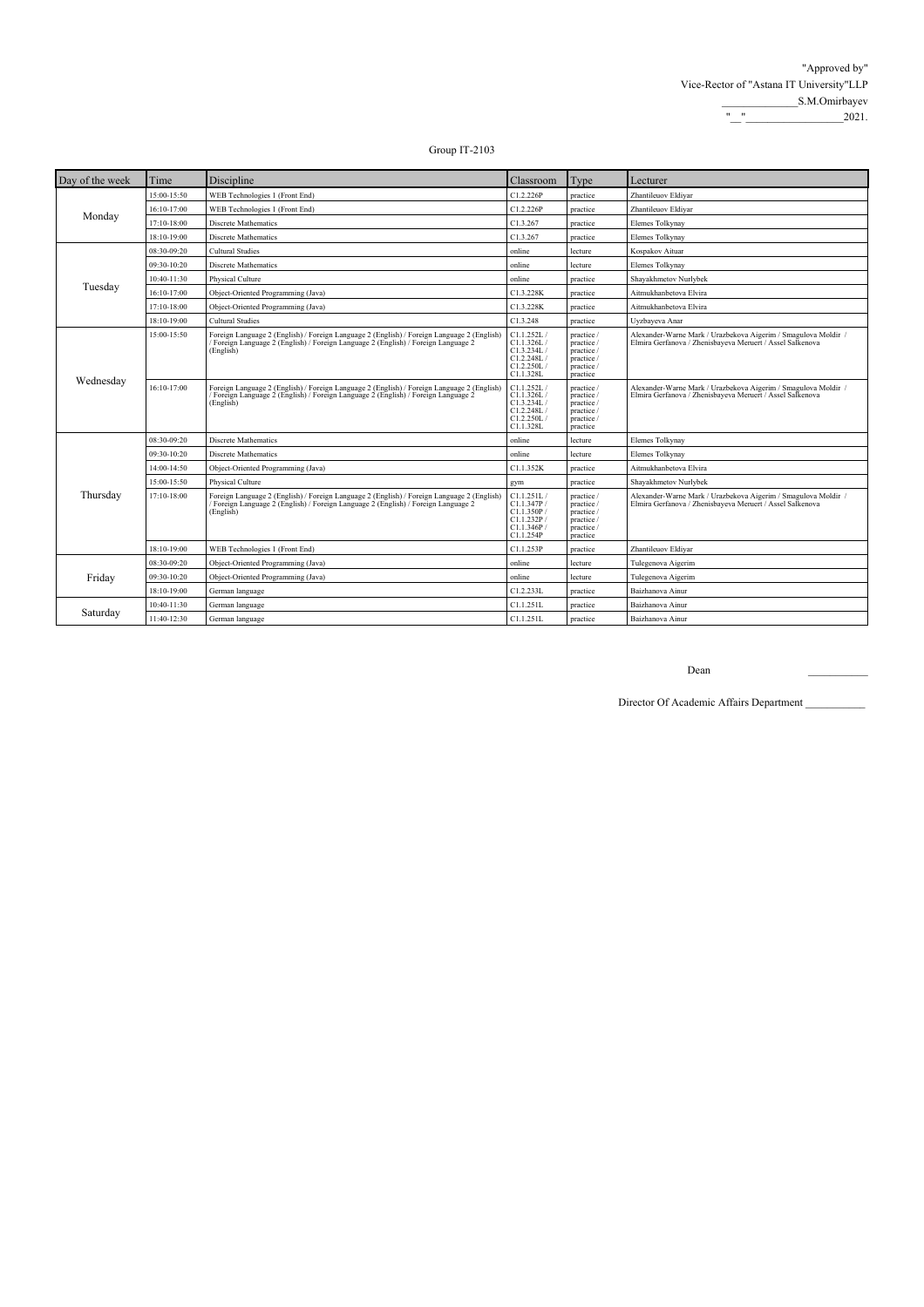| Day of the week | Time        | Discipline                                                                                                                                                                                  | Classroom                                                                       | Type                                                                           | Lecturer                                                                                                                    |
|-----------------|-------------|---------------------------------------------------------------------------------------------------------------------------------------------------------------------------------------------|---------------------------------------------------------------------------------|--------------------------------------------------------------------------------|-----------------------------------------------------------------------------------------------------------------------------|
| Monday          | 15:00-15:50 | WEB Technologies 1 (Front End)                                                                                                                                                              | C1.2.226P                                                                       | practice                                                                       | Zhantileuov Eldivar                                                                                                         |
|                 | 16:10-17:00 | WEB Technologies 1 (Front End)                                                                                                                                                              | C1.2.226P                                                                       | practice                                                                       | Zhantileuov Eldivar                                                                                                         |
|                 | 17:10-18:00 | Discrete Mathematics                                                                                                                                                                        | C1.3.267                                                                        | practice                                                                       | Elemes Tolkynay                                                                                                             |
|                 | 18:10-19:00 | Discrete Mathematics                                                                                                                                                                        | C1.3.267                                                                        | practice                                                                       | Elemes Tolkynay                                                                                                             |
|                 | 08:30-09:20 | <b>Cultural Studies</b>                                                                                                                                                                     | online                                                                          | lecture                                                                        | Kospakov Aituar                                                                                                             |
|                 | 09:30-10:20 | Discrete Mathematics                                                                                                                                                                        | online                                                                          | lecture                                                                        | Elemes Tolkynay                                                                                                             |
|                 | 10:40-11:30 | Physical Culture                                                                                                                                                                            | online                                                                          | practice                                                                       | Shavakhmetov Nurlvbek                                                                                                       |
| Tuesday         | 16:10-17:00 | Object-Oriented Programming (Java)                                                                                                                                                          | C1.3.228K                                                                       | practice                                                                       | Aitmukhanbetova Elvira                                                                                                      |
|                 | 17:10-18:00 | Object-Oriented Programming (Java)                                                                                                                                                          | C1.3.228K                                                                       | practice                                                                       | Aitmukhanbetova Elvira                                                                                                      |
|                 | 18:10-19:00 | Cultural Studies                                                                                                                                                                            | C1.3.248                                                                        | practice                                                                       | Uyzbayeva Anar                                                                                                              |
| Wednesday       | 15:00-15:50 | Foreign Language 2 (English) / Foreign Language 2 (English) / Foreign Language 2 (English)<br>Foreign Language 2 (English) / Foreign Language 2 (English) / Foreign Language 2<br>(English) | C1.1.252L/<br>C1.1.326L/<br>C1.3.234L/<br>C1.2.248L<br>C1.2.250L/<br>C1.1.328L  | practice /<br>practice /<br>practice /<br>practice /<br>practice /<br>practice | Alexander-Warne Mark / Urazbekova Aigerim / Smagulova Moldir /<br>Elmira Gerfanova / Zhenisbayeva Meruert / Assel Salkenova |
|                 | 16:10-17:00 | Foreign Language 2 (English) / Foreign Language 2 (English) / Foreign Language 2 (English)<br>Foreign Language 2 (English) / Foreign Language 2 (English) / Foreign Language 2<br>(English) | C1.1.252L/<br>C1.1.326L/<br>C1.3.234L/<br>C1.2.248L/<br>C1.2.250L/<br>C1.1.328L | practice /<br>practice /<br>practice /<br>practice /<br>practice /<br>practice | Alexander-Warne Mark / Urazbekova Aigerim / Smagulova Moldir /<br>Elmira Gerfanova / Zhenisbaveva Meruert / Assel Salkenova |
|                 | 08:30-09:20 | Discrete Mathematics                                                                                                                                                                        | online                                                                          | lecture                                                                        | Elemes Tolkynay                                                                                                             |
|                 | 09:30-10:20 | Discrete Mathematics                                                                                                                                                                        | online                                                                          | lecture                                                                        | Elemes Tolkynay                                                                                                             |
|                 | 14:00-14:50 | Object-Oriented Programming (Java)                                                                                                                                                          | C1.1.352K                                                                       | practice                                                                       | Aitmukhanbetova Elvira                                                                                                      |
|                 | 15:00-15:50 | Physical Culture                                                                                                                                                                            | gym                                                                             | practice                                                                       | Shayakhmetov Nurlybek                                                                                                       |
| Thursday        | 17:10-18:00 | Foreign Language 2 (English) / Foreign Language 2 (English) / Foreign Language 2 (English)<br>Foreign Language 2 (English) / Foreign Language 2 (English) / Foreign Language 2<br>(English) | C1.1.251L/<br>Cl.1.347P/<br>C1.1.350P<br>Cl.I.232P/<br>Cl.1.346P/<br>C1.1.254P  | practice /<br>practice /<br>practice /<br>practice /<br>practice /<br>practice | Alexander-Warne Mark / Urazbekova Aigerim / Smagulova Moldir /<br>Elmira Gerfanova / Zhenisbayeva Meruert / Assel Salkenova |
|                 | 18:10-19:00 | WEB Technologies 1 (Front End)                                                                                                                                                              | C1.1.253P                                                                       | practice                                                                       | Zhantileuov Eldiyar                                                                                                         |
|                 | 08:30-09:20 | Object-Oriented Programming (Java)                                                                                                                                                          | online                                                                          | lecture                                                                        | Tulegenova Aigerim                                                                                                          |
| Friday          | 09:30-10:20 | Object-Oriented Programming (Java)                                                                                                                                                          | online                                                                          | lecture                                                                        | Tulegenova Aigerim                                                                                                          |
|                 | 18:10-19:00 | German language                                                                                                                                                                             | C1.2.233L                                                                       | practice                                                                       | Baizhanova Ainur                                                                                                            |
|                 | 10:40-11:30 | German language                                                                                                                                                                             | C1.1.251L                                                                       | practice                                                                       | Baizhanova Ainur                                                                                                            |
| Saturday        | 11:40-12:30 | German language                                                                                                                                                                             | C1.1.251L                                                                       | practice                                                                       | Baizhanova Ainur                                                                                                            |

Dean \_\_\_\_\_\_\_\_\_\_\_

Director Of Academic Affairs Department \_\_\_\_\_\_\_\_\_\_\_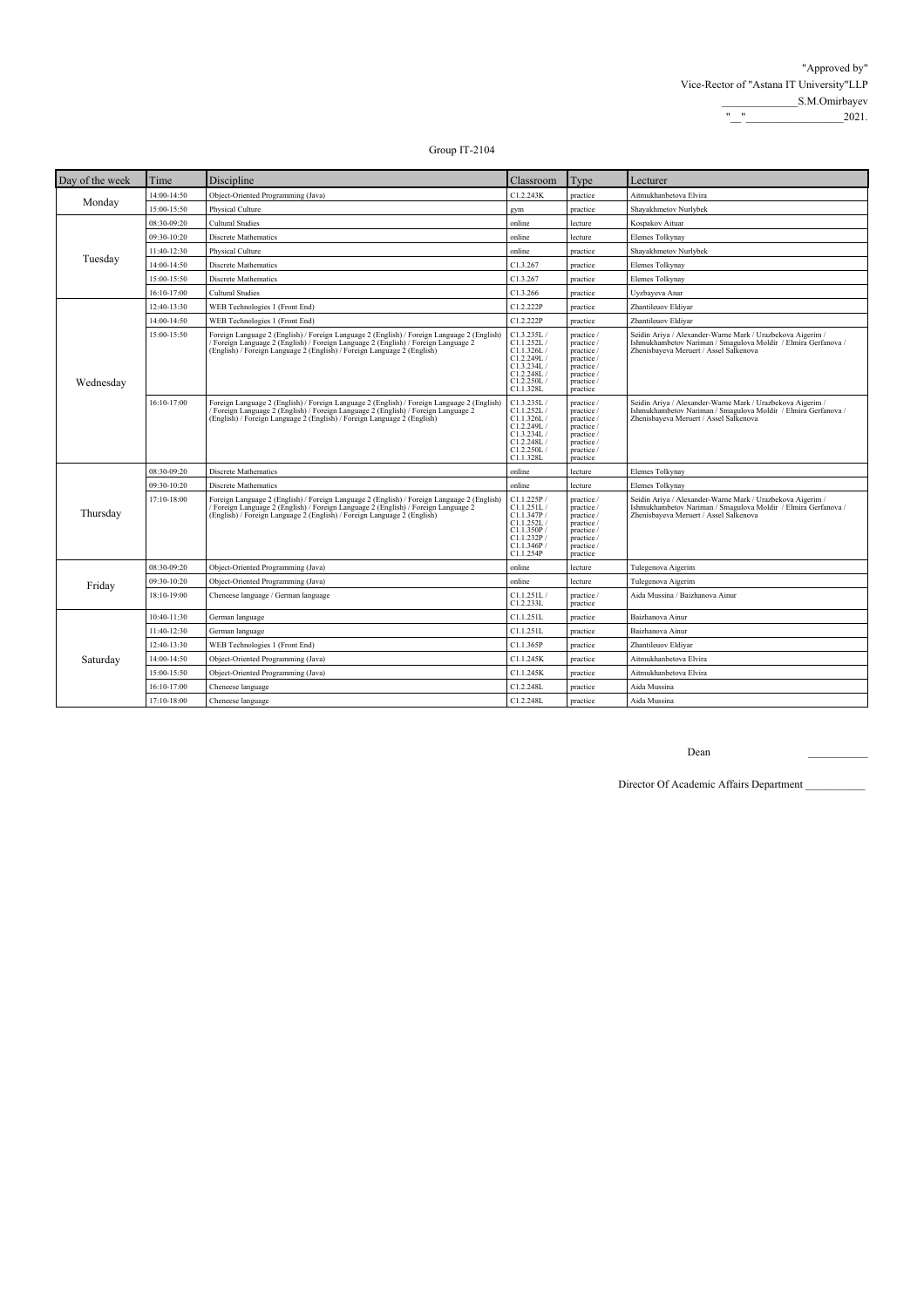| Day of the week | Time        | Discipline                                                                                                                                                                                                                                                | Classroom                                                                                                   | Type                                                                                                       | Lecturer                                                                                                                                                               |
|-----------------|-------------|-----------------------------------------------------------------------------------------------------------------------------------------------------------------------------------------------------------------------------------------------------------|-------------------------------------------------------------------------------------------------------------|------------------------------------------------------------------------------------------------------------|------------------------------------------------------------------------------------------------------------------------------------------------------------------------|
|                 | 14:00-14:50 | Object-Oriented Programming (Java)                                                                                                                                                                                                                        | C1.2.243K                                                                                                   | practice                                                                                                   | Aitmukhanbetova Elvira                                                                                                                                                 |
| Monday          | 15:00-15:50 | Physical Culture                                                                                                                                                                                                                                          | gym                                                                                                         | practice                                                                                                   | Shayakhmetov Nurlybek                                                                                                                                                  |
|                 | 08:30-09:20 | <b>Cultural Studies</b>                                                                                                                                                                                                                                   | online                                                                                                      | lecture                                                                                                    | Kospakov Aituar                                                                                                                                                        |
|                 | 09:30-10:20 | <b>Discrete Mathematics</b>                                                                                                                                                                                                                               | online                                                                                                      | lecture                                                                                                    | Elemes Tolkynay                                                                                                                                                        |
|                 | 11:40-12:30 | Physical Culture                                                                                                                                                                                                                                          | online                                                                                                      | practice                                                                                                   | Shayakhmetov Nurlybek                                                                                                                                                  |
| Tuesday         | 14:00-14:50 | Discrete Mathematics                                                                                                                                                                                                                                      | C1.3.267                                                                                                    | practice                                                                                                   | Elemes Tolkynay                                                                                                                                                        |
|                 | 15:00-15:50 | Discrete Mathematics                                                                                                                                                                                                                                      | C1.3.267                                                                                                    | practice                                                                                                   | Elemes Tolkynay                                                                                                                                                        |
|                 | 16:10-17:00 | <b>Cultural Studies</b>                                                                                                                                                                                                                                   | C1.3.266                                                                                                    | practice                                                                                                   | Uyzbayeva Anar                                                                                                                                                         |
|                 | 12:40-13:30 | WEB Technologies 1 (Front End)                                                                                                                                                                                                                            | C1.2.222P                                                                                                   | practice                                                                                                   | Zhantileuov Eldiyar                                                                                                                                                    |
|                 | 14:00-14:50 | WEB Technologies 1 (Front End)                                                                                                                                                                                                                            | C1.2.222P                                                                                                   | practice                                                                                                   | Zhantileuov Eldiyar                                                                                                                                                    |
| Wednesday       | 15:00-15:50 | Foreign Language 2 (English) / Foreign Language 2 (English) / Foreign Language 2 (English)<br>Foreign Language 2 (English) / Foreign Language 2 (English) / Foreign Language 2<br>(English) / Foreign Language 2 (English) / Foreign Language 2 (English) | C1.3.235L/<br>C1.1.252L/<br>C1.1.326L/<br>C1.2.249L /<br>C1.3.234L/<br>C1.2.248L<br>C1.2.250L/<br>C1.1.328L | practice /<br>practice /<br>practice /<br>practice /<br>practice /<br>practice /<br>practice /<br>practice | Seidin Ariya / Alexander-Warne Mark / Urazbekova Aigerim /<br>Ishmukhambetov Nariman / Smagulova Moldir / Elmira Gerfanova /<br>Zhenisbayeva Meruert / Assel Salkenova |
|                 | 16:10-17:00 | Foreign Language 2 (English) / Foreign Language 2 (English) / Foreign Language 2 (English)<br>Foreign Language 2 (English) / Foreign Language 2 (English) / Foreign Language 2<br>(English) / Foreign Language 2 (English) / Foreign Language 2 (English) | C1.3.235L/<br>Cl.1.252L/<br>C1.1.326L/<br>C1.2.249L/<br>C1.3.234L/<br>C1.2.248L<br>C1.2.250L/<br>C1.1.328L  | practice /<br>practice /<br>practice /<br>practice /<br>practice /<br>practice /<br>practice /<br>practice | Seidin Ariya / Alexander-Warne Mark / Urazbekova Aigerim /<br>Ishmukhambetov Nariman / Smagulova Moldir / Elmira Gerfanova /<br>Zhenisbayeva Meruert / Assel Salkenova |
|                 | 08:30-09:20 | Discrete Mathematics                                                                                                                                                                                                                                      | online                                                                                                      | lecture                                                                                                    | Elemes Tolkynay                                                                                                                                                        |
|                 | 09:30-10:20 | Discrete Mathematics                                                                                                                                                                                                                                      | online                                                                                                      | lecture                                                                                                    | Elemes Tolkynay                                                                                                                                                        |
| Thursday        | 17:10-18:00 | Foreign Language 2 (English) / Foreign Language 2 (English) / Foreign Language 2 (English)<br>Foreign Language 2 (English) / Foreign Language 2 (English) / Foreign Language 2<br>(English) / Foreign Language 2 (English) / Foreign Language 2 (English) | Cl.1.225P/<br>C1.1.251L/<br>Cl.1.347P<br>C1.1.252L<br>C1.1.350P/<br>C1.1.232P<br>C1.1.346P<br>C1.1.254P     | practice /<br>practice /<br>practice /<br>practice /<br>practice /<br>practice /<br>practice /<br>practice | Seidin Ariya / Alexander-Warne Mark / Urazbekova Aigerim /<br>Ishmukhambetov Nariman / Smagulova Moldir / Elmira Gerfanova /<br>Zhenisbayeva Meruert / Assel Salkenova |
|                 | 08:30-09:20 | Object-Oriented Programming (Java)                                                                                                                                                                                                                        | online                                                                                                      | lecture                                                                                                    | Tulegenova Aigerim                                                                                                                                                     |
| Friday          | 09:30-10:20 | Object-Oriented Programming (Java)                                                                                                                                                                                                                        | online                                                                                                      | lecture                                                                                                    | Tulegenova Aigerim                                                                                                                                                     |
|                 | 18:10-19:00 | Cheneese language / German language                                                                                                                                                                                                                       | C1.1.251L/<br>C1.2.233L                                                                                     | practice /<br>practice                                                                                     | Aida Mussina / Baizhanova Ainur                                                                                                                                        |
|                 | 10:40-11:30 | German language                                                                                                                                                                                                                                           | C1.1.251L                                                                                                   | practice                                                                                                   | Baizhanova Ainur                                                                                                                                                       |
|                 | 11:40-12:30 | German language                                                                                                                                                                                                                                           | C1.1.251L                                                                                                   | practice                                                                                                   | Baizhanova Ainur                                                                                                                                                       |
|                 | 12:40-13:30 | WEB Technologies 1 (Front End)                                                                                                                                                                                                                            | C1.1.365P                                                                                                   | practice                                                                                                   | Zhantileuov Eldiyar                                                                                                                                                    |
| Saturday        | 14:00-14:50 | Object-Oriented Programming (Java)                                                                                                                                                                                                                        | C1.1.245K                                                                                                   | practice                                                                                                   | Aitmukhanbetova Elvira                                                                                                                                                 |
|                 | 15:00-15:50 | Object-Oriented Programming (Java)                                                                                                                                                                                                                        | C1.1.245K                                                                                                   | practice                                                                                                   | Aitmukhanbetova Elvira                                                                                                                                                 |
|                 | 16:10-17:00 | Cheneese language                                                                                                                                                                                                                                         | C1.2.248L                                                                                                   | practice                                                                                                   | Aida Mussina                                                                                                                                                           |
|                 | 17:10-18:00 | Cheneese language                                                                                                                                                                                                                                         | C1.2.248L                                                                                                   | practice                                                                                                   | Aida Mussina                                                                                                                                                           |

 $\mathbf{Dean}$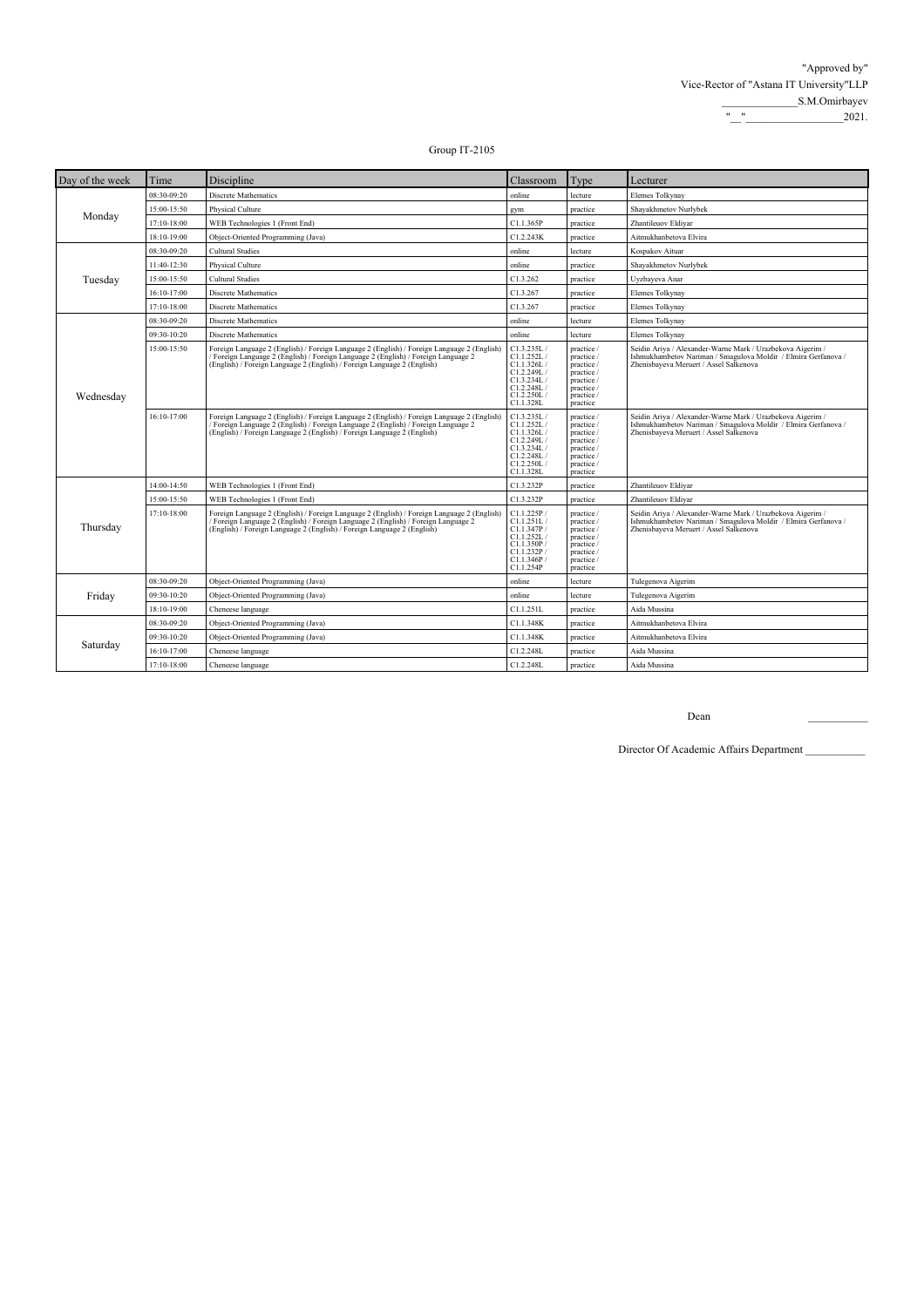| Day of the week | Time        | Discipline                                                                                                                                                                                                                                                | Classroom                                                                                                   | Type                                                                                                       | Lecturer                                                                                                                                                               |
|-----------------|-------------|-----------------------------------------------------------------------------------------------------------------------------------------------------------------------------------------------------------------------------------------------------------|-------------------------------------------------------------------------------------------------------------|------------------------------------------------------------------------------------------------------------|------------------------------------------------------------------------------------------------------------------------------------------------------------------------|
| Monday          | 08:30-09:20 | <b>Discrete Mathematics</b>                                                                                                                                                                                                                               | online                                                                                                      | lecture                                                                                                    | <b>Elemes Tolkynav</b>                                                                                                                                                 |
|                 | 15:00-15:50 | Physical Culture                                                                                                                                                                                                                                          | gym                                                                                                         | practice                                                                                                   | Shayakhmetov Nurlybek                                                                                                                                                  |
|                 | 17:10-18:00 | WEB Technologies 1 (Front End)                                                                                                                                                                                                                            | C1.1.365P                                                                                                   | practice                                                                                                   | Zhantileuov Eldiyar                                                                                                                                                    |
|                 | 18:10-19:00 | Object-Oriented Programming (Java)                                                                                                                                                                                                                        | C1.2.243K                                                                                                   | practice                                                                                                   | Aitmukhanbetova Elvira                                                                                                                                                 |
|                 | 08:30-09:20 | <b>Cultural Studies</b>                                                                                                                                                                                                                                   | online                                                                                                      | lecture                                                                                                    | Kospakov Aituar                                                                                                                                                        |
|                 | 11:40-12:30 | Physical Culture                                                                                                                                                                                                                                          | online                                                                                                      | practice                                                                                                   | Shayakhmetov Nurlybek                                                                                                                                                  |
| Tuesday         | 15:00-15:50 | <b>Cultural Studies</b>                                                                                                                                                                                                                                   | C1.3.262                                                                                                    | practice                                                                                                   | Uyzbayeva Anar                                                                                                                                                         |
|                 | 16:10-17:00 | Discrete Mathematics                                                                                                                                                                                                                                      | C1.3.267                                                                                                    | practice                                                                                                   | Elemes Tolkynay                                                                                                                                                        |
|                 | 17:10-18:00 | Discrete Mathematics                                                                                                                                                                                                                                      | C1.3.267                                                                                                    | practice                                                                                                   | Elemes Tolkynay                                                                                                                                                        |
|                 | 08:30-09:20 | <b>Discrete Mathematics</b>                                                                                                                                                                                                                               | online                                                                                                      | lecture                                                                                                    | Elemes Tolkynay                                                                                                                                                        |
|                 | 09:30-10:20 | Discrete Mathematics                                                                                                                                                                                                                                      | online                                                                                                      | lecture                                                                                                    | Elemes Tolkynay                                                                                                                                                        |
| Wednesday       | 15:00-15:50 | Foreign Language 2 (English) / Foreign Language 2 (English) / Foreign Language 2 (English)<br>Foreign Language 2 (English) / Foreign Language 2 (English) / Foreign Language 2<br>(English) / Foreign Language 2 (English) / Foreign Language 2 (English) | C1.3.235L/<br>Cl.1.252L/<br>Cl.1.326L/<br>C1.2.249L/<br>Cl.3.234L/<br>C1.2.248L<br>C1.2.250L/<br>C1.1.328L  | practice /<br>practice /<br>practice /<br>practice /<br>practice /<br>practice /<br>practice /<br>practice | Seidin Ariya / Alexander-Warne Mark / Urazbekova Aigerim /<br>Ishmukhambetov Nariman / Smagulova Moldir / Elmira Gerfanova /<br>Zhenisbayeva Meruert / Assel Salkenova |
|                 | 16:10-17:00 | Foreign Language 2 (English) / Foreign Language 2 (English) / Foreign Language 2 (English)<br>Foreign Language 2 (English) / Foreign Language 2 (English) / Foreign Language 2<br>(English) / Foreign Language 2 (English) / Foreign Language 2 (English) | C1.3.235L/<br>Cl.1.252L/<br>Cl.1.326L/<br>C1.2.249L/<br>Cl.3.234L/<br>Cl.2.248L/<br>C1.2.250L/<br>C1.1.328L | practice /<br>practice /<br>practice /<br>practice /<br>practice /<br>practice /<br>practice /<br>practice | Seidin Ariya / Alexander-Warne Mark / Urazbekova Aigerim /<br>Ishmukhambetov Nariman / Smagulova Moldir / Elmira Gerfanova /<br>Zhenisbayeva Meruert / Assel Salkenova |
|                 | 14:00-14:50 | WEB Technologies 1 (Front End)                                                                                                                                                                                                                            | C1.3.232P                                                                                                   | practice                                                                                                   | Zhantileuov Eldiyar                                                                                                                                                    |
|                 | 15:00-15:50 | WEB Technologies 1 (Front End)                                                                                                                                                                                                                            | C1.3.232P                                                                                                   | practice                                                                                                   | Zhantileuov Eldivar                                                                                                                                                    |
| Thursday        | 17:10-18:00 | Foreign Language 2 (English) / Foreign Language 2 (English) / Foreign Language 2 (English)<br>Foreign Language 2 (English) / Foreign Language 2 (English) / Foreign Language 2<br>(English) / Foreign Language 2 (English) / Foreign Language 2 (English) | C1.1.225P/<br>C1.1.251L/<br>Cl.I.347P/<br>Cl.I.252L/<br>Cl.1.350P/<br>Cl.I.232P/<br>Cl.1.346P/<br>C1.1.254P | practice /<br>practice /<br>practice /<br>practice /<br>practice /<br>practice /<br>practice /<br>practice | Seidin Ariya / Alexander-Warne Mark / Urazbekova Aigerim /<br>Ishmukhambetov Nariman / Smagulova Moldir / Elmira Gerfanova /<br>Zhenisbayeva Meruert / Assel Salkenova |
|                 | 08:30-09:20 | Object-Oriented Programming (Java)                                                                                                                                                                                                                        | online                                                                                                      | lecture                                                                                                    | Tulegenova Aigerim                                                                                                                                                     |
| Friday          | 09:30-10:20 | Object-Oriented Programming (Java)                                                                                                                                                                                                                        | online                                                                                                      | lecture                                                                                                    | Tulegenova Aigerim                                                                                                                                                     |
|                 | 18:10-19:00 | Cheneese language                                                                                                                                                                                                                                         | C1.1.251L                                                                                                   | practice                                                                                                   | Aida Mussina                                                                                                                                                           |
|                 | 08:30-09:20 | Object-Oriented Programming (Java)                                                                                                                                                                                                                        | C1.1.348K                                                                                                   | practice                                                                                                   | Aitmukhanbetova Elvira                                                                                                                                                 |
|                 | 09:30-10:20 | Object-Oriented Programming (Java)                                                                                                                                                                                                                        | C1.1.348K                                                                                                   | practice                                                                                                   | Aitmukhanbetova Elvira                                                                                                                                                 |
| Saturday        | 16:10-17:00 | Cheneese language                                                                                                                                                                                                                                         | C1.2.248L                                                                                                   | practice                                                                                                   | Aida Mussina                                                                                                                                                           |
|                 | 17:10-18:00 | Cheneese language                                                                                                                                                                                                                                         | C1.2.248L                                                                                                   | practice                                                                                                   | Aida Mussina                                                                                                                                                           |

Dean \_\_\_\_\_\_\_\_\_\_\_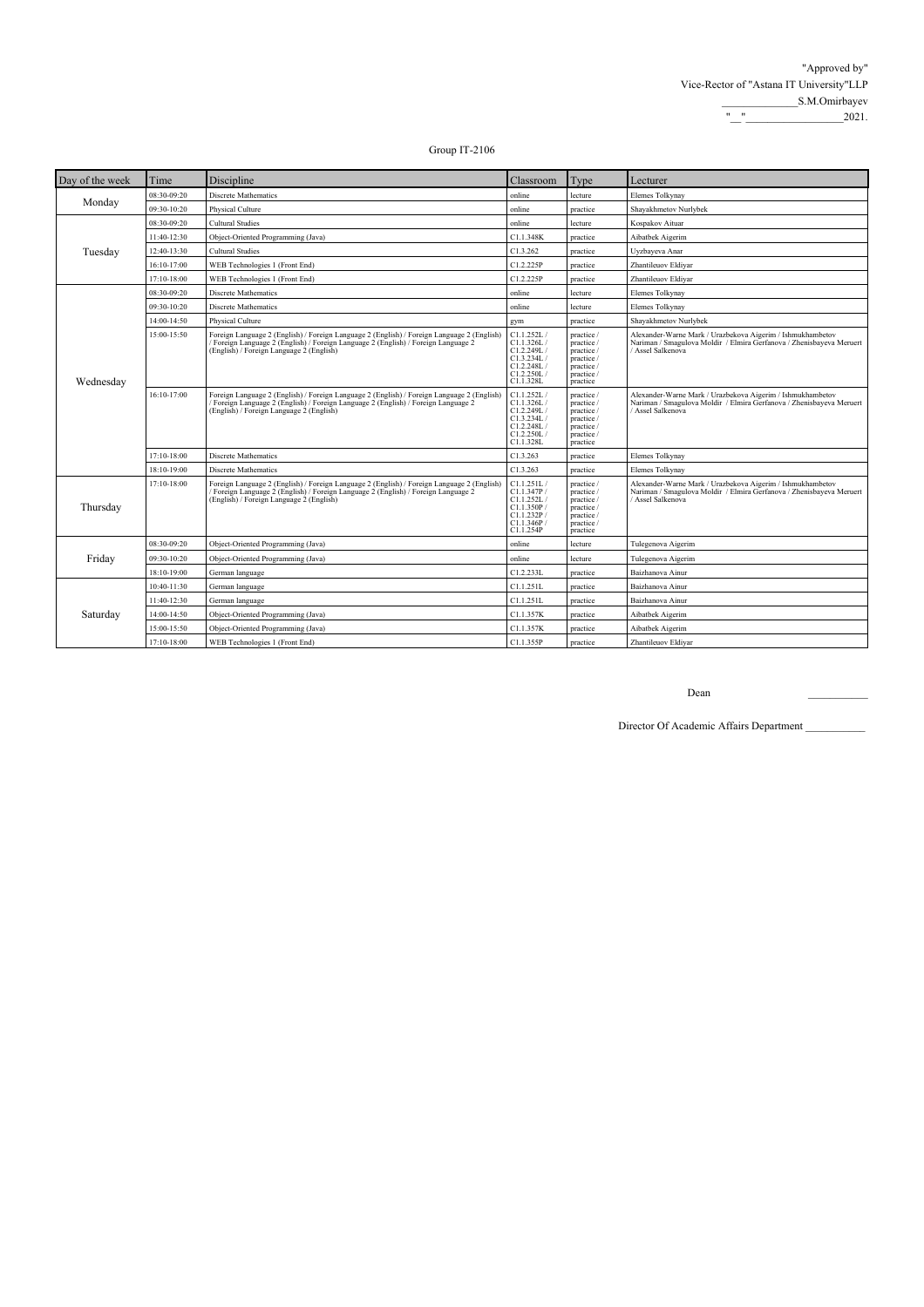| Day of the week | Time        | Discipline                                                                                                                                                                                                                   | Classroom                                                                                      | Type                                                                                         | Lecturer                                                                                                                                                |
|-----------------|-------------|------------------------------------------------------------------------------------------------------------------------------------------------------------------------------------------------------------------------------|------------------------------------------------------------------------------------------------|----------------------------------------------------------------------------------------------|---------------------------------------------------------------------------------------------------------------------------------------------------------|
| Monday          | 08:30-09:20 | <b>Discrete Mathematics</b>                                                                                                                                                                                                  | online                                                                                         | lecture                                                                                      | Elemes Tolkynay                                                                                                                                         |
|                 | 09:30-10:20 | Physical Culture                                                                                                                                                                                                             | online                                                                                         | practice                                                                                     | Shayakhmetov Nurlybek                                                                                                                                   |
|                 | 08:30-09:20 | <b>Cultural Studies</b>                                                                                                                                                                                                      | online                                                                                         | lecture                                                                                      | Kospakov Aituar                                                                                                                                         |
|                 | 11:40-12:30 | Object-Oriented Programming (Java)                                                                                                                                                                                           | C1.1.348K                                                                                      | practice                                                                                     | Aibatbek Aigerim                                                                                                                                        |
| Tuesday         | 12:40-13:30 | <b>Cultural Studies</b>                                                                                                                                                                                                      | C1.3.262                                                                                       | practice                                                                                     | Uyzbayeva Anar                                                                                                                                          |
|                 | 16:10-17:00 | WEB Technologies 1 (Front End)                                                                                                                                                                                               | C1.2.225P                                                                                      | practice                                                                                     | Zhantileuov Eldiyar                                                                                                                                     |
|                 | 17:10-18:00 | WEB Technologies 1 (Front End)                                                                                                                                                                                               | C1.2.225P                                                                                      | practice                                                                                     | Zhantileuov Eldiyar                                                                                                                                     |
|                 | 08:30-09:20 | <b>Discrete Mathematics</b>                                                                                                                                                                                                  | online                                                                                         | lecture                                                                                      | Elemes Tolkynay                                                                                                                                         |
|                 | 09:30-10:20 | <b>Discrete Mathematics</b>                                                                                                                                                                                                  | online                                                                                         | lecture                                                                                      | Elemes Tolkynay                                                                                                                                         |
|                 | 14:00-14:50 | Physical Culture                                                                                                                                                                                                             | gym                                                                                            | practice                                                                                     | Shayakhmetov Nurlybek                                                                                                                                   |
| Wednesday       | 15:00-15:50 | Foreign Language 2 (English) / Foreign Language 2 (English) / Foreign Language 2 (English)<br>Foreign Language 2 (English) / Foreign Language 2 (English) / Foreign Language 2<br>(English) / Foreign Language 2 (English)   | C1.1.252L/<br>C1.1.326L/<br>C1.2.249L /<br>Cl.3.234L/<br>C1.2.248L/<br>C1.2.250L/<br>C1.1.328L | practice /<br>practice /<br>practice /<br>practice /<br>practice /<br>practice /<br>practice | Alexander-Warne Mark / Urazbekova Aigerim / Ishmukhambetov<br>Nariman / Smagulova Moldir / Elmira Gerfanova / Zhenisbayeva Meruert<br>/ Assel Salkenova |
|                 | 16:10-17:00 | Foreign Language 2 (English) / Foreign Language 2 (English) / Foreign Language 2 (English)<br>/ Foreign Language 2 (English) / Foreign Language 2 (English) / Foreign Language 2<br>(English) / Foreign Language 2 (English) | C1.1.252L/<br>C1.1.326L/<br>C1.2.249L/<br>C1.3.234L/<br>C1.2.248L/<br>C1.2.250L/<br>C1.1.328L  | practice /<br>practice /<br>practice /<br>practice /<br>practice /<br>practice /<br>practice | Alexander-Warne Mark / Urazbekova Aigerim / Ishmukhambetov<br>Nariman / Smagulova Moldir / Elmira Gerfanova / Zhenisbayeva Meruert<br>/ Assel Salkenova |
|                 | 17:10-18:00 | <b>Discrete Mathematics</b>                                                                                                                                                                                                  | C1.3.263                                                                                       | practice                                                                                     | Elemes Tolkynay                                                                                                                                         |
|                 | 18:10-19:00 | Discrete Mathematics                                                                                                                                                                                                         | C1.3.263                                                                                       | practice                                                                                     | Elemes Tolkynay                                                                                                                                         |
| Thursday        | 17:10-18:00 | Foreign Language 2 (English) / Foreign Language 2 (English) / Foreign Language 2 (English)<br>/ Foreign Language 2 (English) / Foreign Language 2 (English) / Foreign Language 2<br>(English) / Foreign Language 2 (English) | C1.1.251L/<br>C1.1.347P/<br>C1.1.252L/<br>C1.1.350P/<br>Cl.1.232P/<br>Cl.1.346P<br>C1.1.254P   | practice /<br>practice /<br>practice /<br>practice /<br>practice /<br>practice /<br>practice | Alexander-Warne Mark / Urazbekova Aigerim / Ishmukhambetov<br>Nariman / Smagulova Moldir / Elmira Gerfanova / Zhenisbayeva Meruert<br>/ Assel Salkenova |
|                 | 08:30-09:20 | Object-Oriented Programming (Java)                                                                                                                                                                                           | online                                                                                         | lecture                                                                                      | Tulegenova Aigerim                                                                                                                                      |
| Friday          | 09:30-10:20 | Object-Oriented Programming (Java)                                                                                                                                                                                           | online                                                                                         | lecture                                                                                      | Tulegenova Aigerim                                                                                                                                      |
|                 | 18:10-19:00 | German language                                                                                                                                                                                                              | C1.2.233L                                                                                      | practice                                                                                     | Baizhanova Ainur                                                                                                                                        |
|                 | 10:40-11:30 | German language                                                                                                                                                                                                              | C1.1.251L                                                                                      | practice                                                                                     | Baizhanova Ainur                                                                                                                                        |
|                 | 11:40-12:30 | German language                                                                                                                                                                                                              | C1.1.251L                                                                                      | practice                                                                                     | Baizhanova Ainur                                                                                                                                        |
| Saturday        | 14:00-14:50 | Object-Oriented Programming (Java)                                                                                                                                                                                           | C1.1.357K                                                                                      | practice                                                                                     | Aibatbek Aigerim                                                                                                                                        |
|                 | 15:00-15:50 | Object-Oriented Programming (Java)                                                                                                                                                                                           | C1.1.357K                                                                                      | practice                                                                                     | Aibatbek Aigerim                                                                                                                                        |
|                 | 17:10-18:00 | WEB Technologies 1 (Front End)                                                                                                                                                                                               | C1.1.355P                                                                                      | practice                                                                                     | Zhantileuov Eldiyar                                                                                                                                     |

Dean \_\_\_\_\_\_\_\_\_\_\_